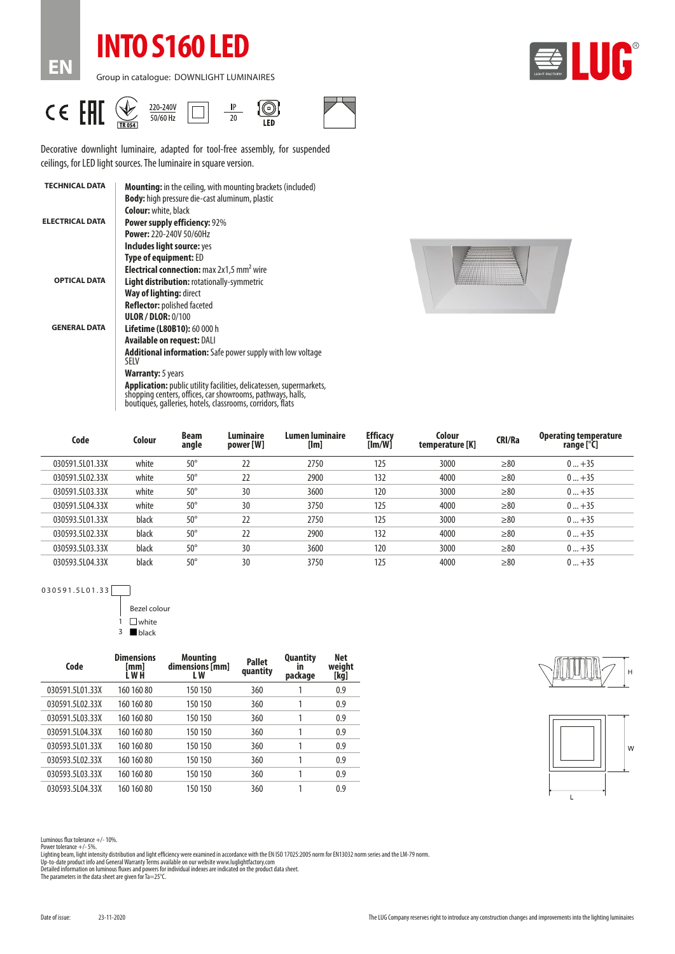## **INTO S160 LED**

Group in catalogue: DOWNLIGHT LUMINAIRES



CE EHI  $\frac{1}{\sqrt{\frac{1}{10054}}}$  $\circledcirc$ 220-240V  $\ensuremath{\mathsf{IP}}$  $\Box$  $\overline{20}$  $50/60$  Hz

**EN**



 $\frac{1}{150}$ 

Decorative downlight luminaire, adapted for tool-free assembly, for suspended ceilings, for LED light sources. The luminaire in square version.

| <b>TECHNICAL DATA</b>  | <b>Mounting:</b> in the ceiling, with mounting brackets (included)                                                                                                                              |  |  |  |  |  |
|------------------------|-------------------------------------------------------------------------------------------------------------------------------------------------------------------------------------------------|--|--|--|--|--|
|                        | <b>Body:</b> high pressure die-cast aluminum, plastic                                                                                                                                           |  |  |  |  |  |
|                        | <b>Colour:</b> white, black                                                                                                                                                                     |  |  |  |  |  |
| <b>ELECTRICAL DATA</b> | <b>Power supply efficiency: 92%</b>                                                                                                                                                             |  |  |  |  |  |
|                        | <b>Power: 220-240V 50/60Hz</b>                                                                                                                                                                  |  |  |  |  |  |
|                        | Includes light source: yes                                                                                                                                                                      |  |  |  |  |  |
|                        | <b>Type of equipment: ED</b>                                                                                                                                                                    |  |  |  |  |  |
|                        | <b>Electrical connection:</b> max 2x1,5 mm <sup>2</sup> wire                                                                                                                                    |  |  |  |  |  |
| <b>OPTICAL DATA</b>    | <b>Light distribution:</b> rotationally-symmetric                                                                                                                                               |  |  |  |  |  |
|                        | <b>Way of lighting:</b> direct                                                                                                                                                                  |  |  |  |  |  |
|                        | <b>Reflector:</b> polished faceted                                                                                                                                                              |  |  |  |  |  |
|                        | <b>ULOR / DLOR: 0/100</b>                                                                                                                                                                       |  |  |  |  |  |
| <b>GENERAL DATA</b>    | <b>Lifetime (L80B10): 60 000 h</b>                                                                                                                                                              |  |  |  |  |  |
|                        | <b>Available on request: DALI</b>                                                                                                                                                               |  |  |  |  |  |
|                        | <b>Additional information:</b> Safe power supply with low voltage<br><b>SFIV</b>                                                                                                                |  |  |  |  |  |
|                        | <b>Warranty:</b> 5 years                                                                                                                                                                        |  |  |  |  |  |
|                        | Application: public utility facilities, delicatessen, supermarkets,<br>shopping centers, offices, car showrooms, pathways, halls,<br>boutiques, galleries, hotels, classrooms, corridors, flats |  |  |  |  |  |



| Code            | Colour | <b>Beam</b><br>angle | <b>Luminaire</b><br>power [W] | Lumen luminaire<br>[Im] | <b>Efficacy</b><br>[Im/W] | Colour<br>temperature [K] | <b>CRI/Ra</b> | <b>Operating temperature</b><br>range [°C] |
|-----------------|--------|----------------------|-------------------------------|-------------------------|---------------------------|---------------------------|---------------|--------------------------------------------|
| 030591.5L01.33X | white  | $50^{\circ}$         | 22                            | 2750                    | 125                       | 3000                      | > 80          | $0+35$                                     |
| 030591.5L02.33X | white  | $50^{\circ}$         | 22                            | 2900                    | 132                       | 4000                      | $\geq 80$     | $0+35$                                     |
| 030591.5L03.33X | white  | $50^{\circ}$         | 30                            | 3600                    | 120                       | 3000                      | > 80          | $0+35$                                     |
| 030591.5L04.33X | white  | $50^{\circ}$         | 30                            | 3750                    | 125                       | 4000                      | > 80          | $0+35$                                     |
| 030593.5L01.33X | black  | $50^{\circ}$         | 22                            | 2750                    | 125                       | 3000                      | > 80          | $0+35$                                     |
| 030593.5L02.33X | black  | $50^{\circ}$         | 22                            | 2900                    | 132                       | 4000                      | > 80          | $0+35$                                     |
| 030593.5L03.33X | black  | $50^{\circ}$         | 30                            | 3600                    | 120                       | 3000                      | > 80          | $0+35$                                     |
| 030593.5L04.33X | black  | $50^{\circ}$         | 30                            | 3750                    | 125                       | 4000                      | > 80          | $0+35$                                     |

030591.5L01.33

Bezel colour

 $1$   $\Box$  white 3 black

| Code            | <b>Dimensions</b><br>[mm]<br>L W H | <b>Mounting</b><br>dimensions [mm]<br>L W | <b>Pallet</b><br>quantity | <b>Quantity</b><br>ın<br>package | <b>Net</b><br>weight<br>[kg] |
|-----------------|------------------------------------|-------------------------------------------|---------------------------|----------------------------------|------------------------------|
| 030591.5L01.33X | 160 160 80                         | 150 150                                   | 360                       |                                  | 0.9                          |
| 030591.5102.33X | 160 160 80                         | 150 150                                   | 360                       |                                  | 0.9                          |
| 030591.5103.33X | 160 160 80                         | 150 150                                   | 360                       |                                  | 0.9                          |
| 030591.5104.33X | 160 160 80                         | 150 150                                   | 360                       |                                  | 0.9                          |
| 030593.5101.33X | 160 160 80                         | 150 150                                   | 360                       |                                  | 0.9                          |
| 030593.5102.33X | 160 160 80                         | 150 150                                   | 360                       |                                  | 0.9                          |
| 030593.5103.33X | 160 160 80                         | 150 150                                   | 360                       |                                  | 0.9                          |
| 030593.5L04.33X | 160 160 80                         | 150 150                                   | 360                       |                                  | 0.9                          |





Luminous flux tolerance +/- 10%.

Power tolerance +/- 5%.

Lighting beam, light intensity distribution and light efficiency were examined in accordance with the EN ISO 17025:2005 norm for EN13032 norm series and the LM-79 norm.<br>Up-to-date product info and General Warranty Terms av